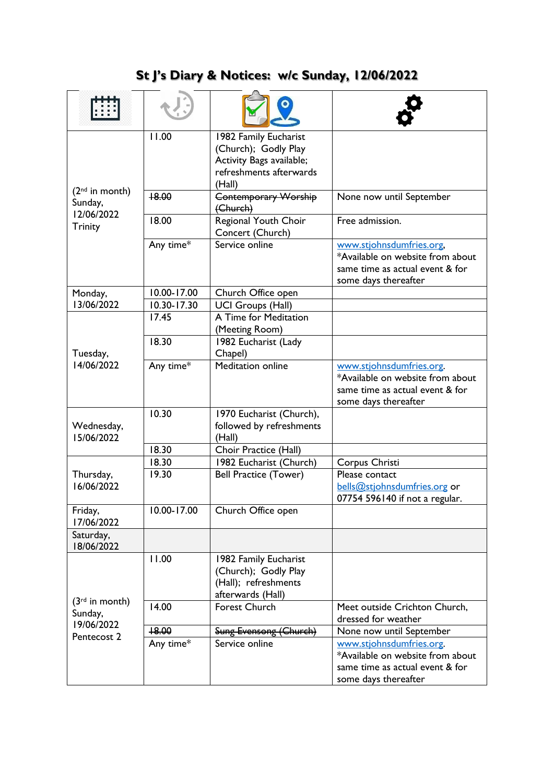## **St J's Diary & Notices: w/c Sunday, 12/06/2022**

| $(2nd$ in month)<br>Sunday,<br>12/06/2022<br><b>Trinity</b> | 11.00       | 1982 Family Eucharist<br>(Church); Godly Play<br>Activity Bags available;<br>refreshments afterwards<br>(Hall) |                                                                                                                         |
|-------------------------------------------------------------|-------------|----------------------------------------------------------------------------------------------------------------|-------------------------------------------------------------------------------------------------------------------------|
|                                                             | +8.00       | <b>Contemporary Worship</b><br>(Church)                                                                        | None now until September                                                                                                |
|                                                             | 18.00       | Regional Youth Choir<br>Concert (Church)                                                                       | Free admission.                                                                                                         |
|                                                             | Any time*   | Service online                                                                                                 | www.stjohnsdumfries.org,<br>*Available on website from about<br>same time as actual event & for<br>some days thereafter |
| Monday,                                                     | 10.00-17.00 | Church Office open                                                                                             |                                                                                                                         |
| 13/06/2022                                                  | 10.30-17.30 | <b>UCI Groups (Hall)</b>                                                                                       |                                                                                                                         |
| Tuesday,<br>14/06/2022                                      | 17.45       | A Time for Meditation<br>(Meeting Room)                                                                        |                                                                                                                         |
|                                                             | 18.30       | 1982 Eucharist (Lady<br>Chapel)                                                                                |                                                                                                                         |
|                                                             | Any time*   | <b>Meditation online</b>                                                                                       | www.stjohnsdumfries.org.<br>*Available on website from about<br>same time as actual event & for<br>some days thereafter |
| Wednesday,<br>15/06/2022                                    | 10.30       | 1970 Eucharist (Church),<br>followed by refreshments<br>(Hall)                                                 |                                                                                                                         |
|                                                             | 18.30       | Choir Practice (Hall)                                                                                          |                                                                                                                         |
| Thursday,<br>16/06/2022                                     | 18.30       | 1982 Eucharist (Church)                                                                                        | Corpus Christi                                                                                                          |
|                                                             | 19.30       | <b>Bell Practice (Tower)</b>                                                                                   | Please contact<br>bells@stjohnsdumfries.org or<br>07754 596140 if not a regular.                                        |
| Friday,<br>17/06/2022                                       | 10.00-17.00 | Church Office open                                                                                             |                                                                                                                         |
| Saturday,<br>18/06/2022                                     |             |                                                                                                                |                                                                                                                         |
| $(3rd$ in month)<br>Sunday,<br>19/06/2022<br>Pentecost 2    | 11.00       | 1982 Family Eucharist<br>(Church); Godly Play<br>(Hall); refreshments<br>afterwards (Hall)                     |                                                                                                                         |
|                                                             | 14.00       | Forest Church                                                                                                  | Meet outside Crichton Church,<br>dressed for weather                                                                    |
|                                                             | +8.00       | Sung Evensong (Church)                                                                                         | None now until September                                                                                                |
|                                                             | Any time*   | Service online                                                                                                 | www.stjohnsdumfries.org.<br>*Available on website from about<br>same time as actual event & for<br>some days thereafter |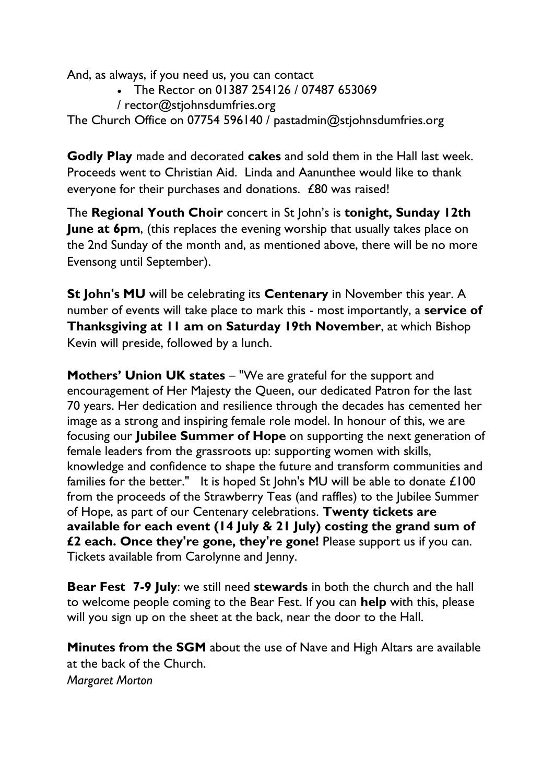And, as always, if you need us, you can contact

- The Rector on 01387 254126 / 07487 653069
- / [rector@stjohnsdumfries.org](mailto:rector@stjohnsdumfries.org)

The Church Office on 07754 596140 / [pastadmin@stjohnsdumfries.org](mailto:pastadmin@stjohnsdumfries.org)

**Godly Play** made and decorated **cakes** and sold them in the Hall last week. Proceeds went to Christian Aid. Linda and Aanunthee would like to thank everyone for their purchases and donations. £80 was raised!

The **Regional Youth Choir** concert in St John's is **tonight, Sunday 12th June at 6pm**, (this replaces the evening worship that usually takes place on the 2nd Sunday of the month and, as mentioned above, there will be no more Evensong until September).

**St John's MU** will be celebrating its **Centenary** in November this year. A number of events will take place to mark this - most importantly, a **service of Thanksgiving at 11 am on Saturday 19th November**, at which Bishop Kevin will preside, followed by a lunch.

**Mothers' Union UK states** – "We are grateful for the support and encouragement of Her Majesty the Queen, our dedicated Patron for the last 70 years. Her dedication and resilience through the decades has cemented her image as a strong and inspiring female role model. In honour of this, we are focusing our **Jubilee Summer of Hope** on supporting the next generation of female leaders from the grassroots up: supporting women with skills, knowledge and confidence to shape the future and transform communities and families for the better." It is hoped St John's MU will be able to donate £100 from the proceeds of the Strawberry Teas (and raffles) to the Jubilee Summer of Hope, as part of our Centenary celebrations. **Twenty tickets are available for each event (14 July & 21 July) costing the grand sum of £2 each. Once they're gone, they're gone!** Please support us if you can. Tickets available from Carolynne and Jenny.

**Bear Fest 7-9 July**: we still need **stewards** in both the church and the hall to welcome people coming to the Bear Fest. If you can **help** with this, please will you sign up on the sheet at the back, near the door to the Hall.

**Minutes from the SGM** about the use of Nave and High Altars are available at the back of the Church. *Margaret Morton*